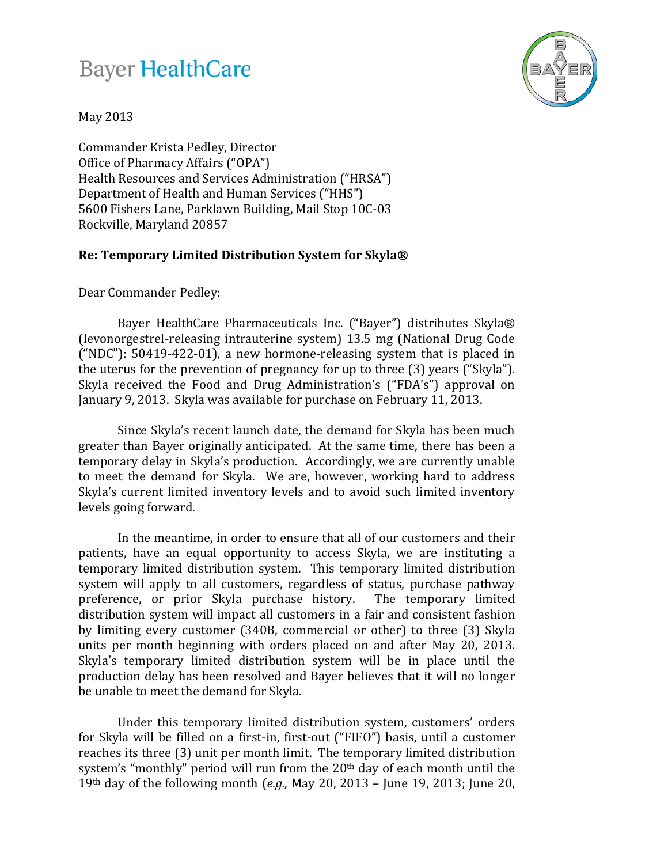## **Bayer HealthCare**



May 2013

Commander Krista Pedley, Director Office of Pharmacy Affairs ("OPA") Health Resources and Services Administration ("HRSA") Department of Health and Human Services ("HHS") 5600 Fishers Lane, Parklawn Building, Mail Stop 10C-03 Rockville, Maryland 20857

## **Re: Temporary Limited Distribution System for Skyla®**

Dear Commander Pedley:

Bayer HealthCare Pharmaceuticals Inc. ("Bayer") distributes Skyla® (levonorgestrel-releasing intrauterine system) 13.5 mg (National Drug Code ("NDC"): 50419-422-01), a new hormone-releasing system that is placed in the uterus for the prevention of pregnancy for up to three (3) years ("Skyla"). Skyla received the Food and Drug Administration's ("FDA's") approval on January 9, 2013. Skyla was available for purchase on February 11, 2013.

Since Skyla's recent launch date, the demand for Skyla has been much greater than Bayer originally anticipated. At the same time, there has been a temporary delay in Skyla's production. Accordingly, we are currently unable to meet the demand for Skyla. We are, however, working hard to address Skyla's current limited inventory levels and to avoid such limited inventory levels going forward.

In the meantime, in order to ensure that all of our customers and their patients, have an equal opportunity to access Skyla, we are instituting a temporary limited distribution system. This temporary limited distribution system will apply to all customers, regardless of status, purchase pathway preference, or prior Skyla purchase history. The temporary limited preference, or prior Skyla purchase history. distribution system will impact all customers in a fair and consistent fashion by limiting every customer (340B, commercial or other) to three (3) Skyla units per month beginning with orders placed on and after May 20, 2013. Skyla's temporary limited distribution system will be in place until the production delay has been resolved and Bayer believes that it will no longer be unable to meet the demand for Skyla.

Under this temporary limited distribution system, customers' orders for Skyla will be filled on a first-in, first-out ("FIFO") basis, until a customer reaches its three (3) unit per month limit. The temporary limited distribution system's "monthly" period will run from the 20<sup>th</sup> day of each month until the 19th day of the following month (*e.g.,* May 20, 2013 – June 19, 2013; June 20,